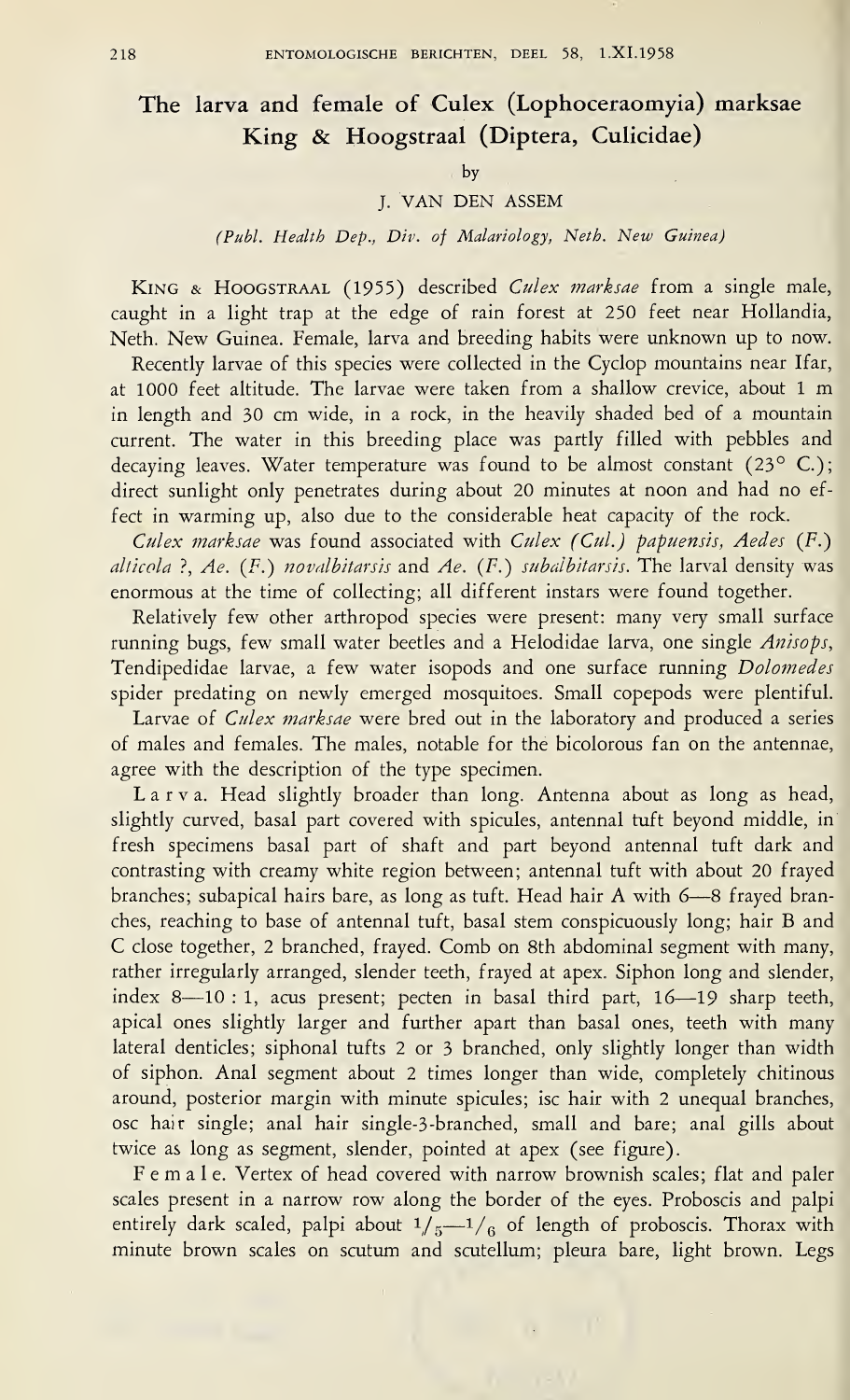# The larva and female of Culex (Lophoceraomyia) marksae King & Hoogstraal (Diptera, Culicidae)

#### by

### J. VAN DEN ASSEM

## (Publ. Health Dep., Div. of Malariology, Neth. New Guinea)

KING & HOOGSTRAAL (1955) described Culex marksae from a single male, caught in a light trap at the edge of rain forest at 250 feet near Hollandia, Neth. New Guinea. Female, larva and breeding habits were unknown up to now.

Recently larvae of this species were collected in the Cyclop mountains near Ifar, at 1000 feet altitude. The larvae were taken from a shallow crevice, about <sup>1</sup> m in length and 30 cm wide, in a rock, in the heavily shaded bed of a mountain current. The water in this breeding place was partly filled with pebbles and decaying leaves. Water temperature was found to be almost constant (23° C.); direct sunlight only penetrates during about 20 minutes at noon and had no effect in warming up, also due to the considerable heat capacity of the rock.

Culex marksae was found associated with Culex (Cul.) papuensis, Aedes (F.) alticola ?, Ae.  $(F.)$  novalbitarsis and Ae.  $(F.)$  subalbitarsis. The larval density was enormous at the time of collecting; all different instars were found together.

Relatively few other arthropod species were present: many very small surface running bugs, few small water beetles and a Helodidae larva, one single Anisops, Tendipedidae larvae, a few water isopods and one surface running Dolomedes spider predating on newly emerged mosquitoes. Small copepods were plentiful.

Larvae of Culex marksae were bred out in the laboratory and produced a series of males and females. The males, notable for the bicolorous fan on the antennae, agree with the description of the type specimen.

Larva. Head slightly broader than long. Antenna about as long as head, slightly curved, basal part covered with spicules, antennal tuft beyond middle, in fresh specimens basal part of shaft and part beyond antennal tuft dark and contrasting with creamy white region between; antennal tuft with about 20 frayed branches; subapical hairs bare, as long as tuft. Head hair A with 6—8 frayed bran ches, reaching to base of antennal tuft, basal stem conspicuously long; hair B and C close together, 2 branched, frayed. Comb on 8th abdominal segment with many, rather irregularly arranged, slender teeth, frayed at apex. Siphon long and slender, index 8—10 : 1, acus present; pecten in basal third part, 16—19 sharp teeth, apical ones slightly larger and further apart than basal ones, teeth with many lateral denticles; siphonal tufts 2 or 3 branched, only slightly longer than width of siphon. Anal segment about 2 times longer than wide, completely chitinous around, posterior margin with minute spicules; isc hair with 2 unequal branches, osc hair single; anal hair single-3-branched, small and bare; anal gills about twice as long as segment, slender, pointed at apex (see figure).

Female. Vertex of head covered with narrow brownish scales; flat and paler scales present in a narrow row along the border of the eyes. Proboscis and palpi entirely dark scaled, palpi about  $1/5-1/6$  of length of proboscis. Thorax with minute brown scales on scutum and scutellum; pleura bare, light brown. Legs